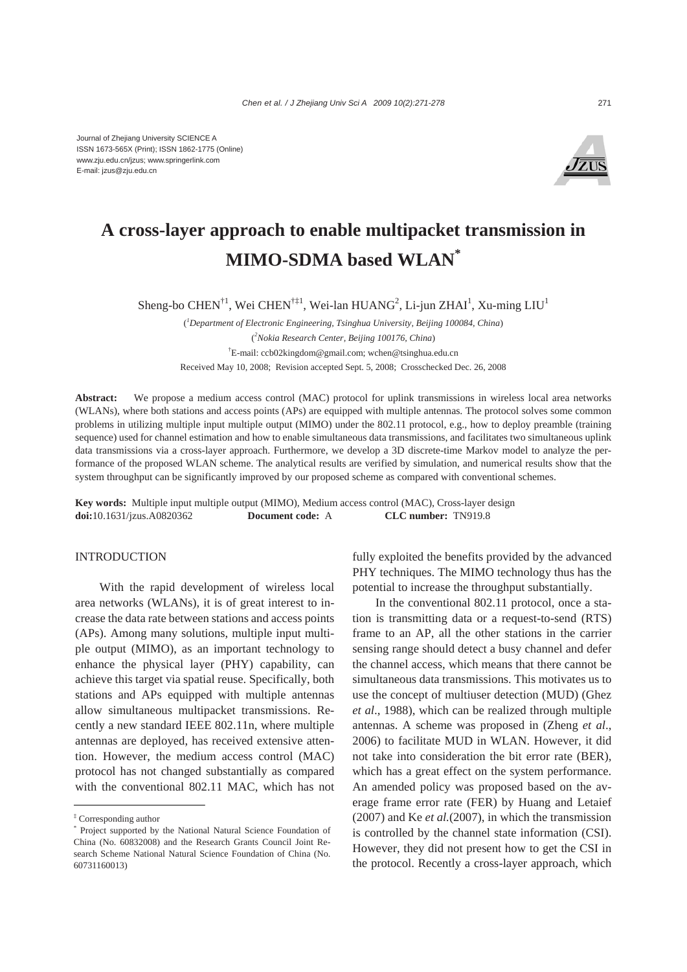

# **A cross-layer approach to enable multipacket transmission in MIMO-SDMA based WLAN\***

Sheng-bo CHEN<sup>†1</sup>, Wei CHEN<sup>†‡1</sup>, Wei-lan HUANG<sup>2</sup>, Li-jun ZHAI<sup>1</sup>, Xu-ming LIU<sup>1</sup>

( *1 Department of Electronic Engineering, Tsinghua University, Beijing 100084, China*) ( *2 Nokia Research Center, Beijing 100176, China*) † E-mail: ccb02kingdom@gmail.com; wchen@tsinghua.edu.cn Received May 10, 2008; Revision accepted Sept. 5, 2008; Crosschecked Dec. 26, 2008

**Abstract:** We propose a medium access control (MAC) protocol for uplink transmissions in wireless local area networks (WLANs), where both stations and access points (APs) are equipped with multiple antennas. The protocol solves some common problems in utilizing multiple input multiple output (MIMO) under the 802.11 protocol, e.g., how to deploy preamble (training sequence) used for channel estimation and how to enable simultaneous data transmissions, and facilitates two simultaneous uplink data transmissions via a cross-layer approach. Furthermore, we develop a 3D discrete-time Markov model to analyze the performance of the proposed WLAN scheme. The analytical results are verified by simulation, and numerical results show that the system throughput can be significantly improved by our proposed scheme as compared with conventional schemes.

**Key words:** Multiple input multiple output (MIMO), Medium access control (MAC), Cross-layer design **doi:**10.1631/jzus.A0820362 **Document code:** A **CLC number:** TN919.8

## INTRODUCTION

With the rapid development of wireless local area networks (WLANs), it is of great interest to increase the data rate between stations and access points (APs). Among many solutions, multiple input multiple output (MIMO), as an important technology to enhance the physical layer (PHY) capability, can achieve this target via spatial reuse. Specifically, both stations and APs equipped with multiple antennas allow simultaneous multipacket transmissions. Recently a new standard IEEE 802.11n, where multiple antennas are deployed, has received extensive attention. However, the medium access control (MAC) protocol has not changed substantially as compared with the conventional 802.11 MAC, which has not fully exploited the benefits provided by the advanced PHY techniques. The MIMO technology thus has the potential to increase the throughput substantially.

In the conventional 802.11 protocol, once a station is transmitting data or a request-to-send (RTS) frame to an AP, all the other stations in the carrier sensing range should detect a busy channel and defer the channel access, which means that there cannot be simultaneous data transmissions. This motivates us to use the concept of multiuser detection (MUD) (Ghez *et al*., 1988), which can be realized through multiple antennas. A scheme was proposed in (Zheng *et al*., 2006) to facilitate MUD in WLAN. However, it did not take into consideration the bit error rate (BER), which has a great effect on the system performance. An amended policy was proposed based on the average frame error rate (FER) by Huang and Letaief (2007) and Ke *et al.*(2007), in which the transmission is controlled by the channel state information (CSI). However, they did not present how to get the CSI in the protocol. Recently a cross-layer approach, which

<sup>‡</sup> Corresponding author

<sup>\*</sup> Project supported by the National Natural Science Foundation of China (No. 60832008) and the Research Grants Council Joint Research Scheme National Natural Science Foundation of China (No. 60731160013)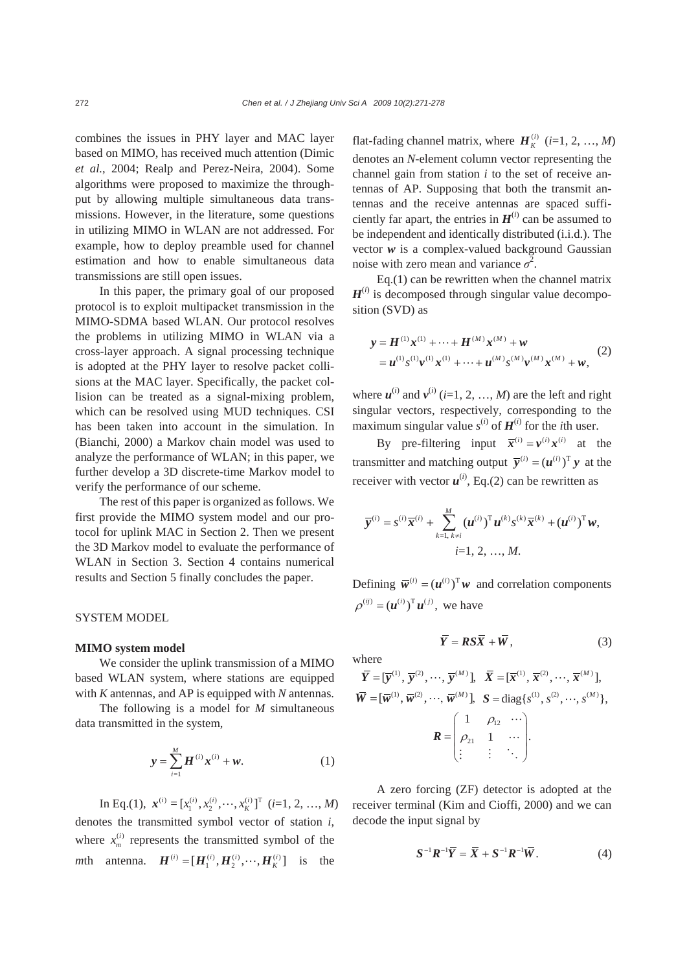combines the issues in PHY layer and MAC layer based on MIMO, has received much attention (Dimic *et al.*, 2004; Realp and Perez-Neira, 2004). Some algorithms were proposed to maximize the throughput by allowing multiple simultaneous data transmissions. However, in the literature, some questions in utilizing MIMO in WLAN are not addressed. For example, how to deploy preamble used for channel estimation and how to enable simultaneous data transmissions are still open issues.

In this paper, the primary goal of our proposed protocol is to exploit multipacket transmission in the MIMO-SDMA based WLAN. Our protocol resolves the problems in utilizing MIMO in WLAN via a cross-layer approach. A signal processing technique is adopted at the PHY layer to resolve packet collisions at the MAC layer. Specifically, the packet collision can be treated as a signal-mixing problem, which can be resolved using MUD techniques. CSI has been taken into account in the simulation. In (Bianchi, 2000) a Markov chain model was used to analyze the performance of WLAN; in this paper, we further develop a 3D discrete-time Markov model to verify the performance of our scheme.

The rest of this paper is organized as follows. We first provide the MIMO system model and our protocol for uplink MAC in Section 2. Then we present the 3D Markov model to evaluate the performance of WLAN in Section 3. Section 4 contains numerical results and Section 5 finally concludes the paper.

## SYSTEM MODEL

## **MIMO system model**

We consider the uplink transmission of a MIMO based WLAN system, where stations are equipped with *K* antennas, and AP is equipped with *N* antennas.

The following is a model for *M* simultaneous data transmitted in the system,

$$
y = \sum_{i=1}^{M} H^{(i)} x^{(i)} + w.
$$
 (1)

In Eq.(1),  $\mathbf{x}^{(i)} = [x_1^{(i)}, x_2^{(i)}, \cdots, x_K^{(i)}]^T$  (*i*=1, 2, ..., *M*) denotes the transmitted symbol vector of station *i*, where  $x_m^{(i)}$  represents the transmitted symbol of the *m*th antenna.  $\mathbf{H}^{(i)} = [\mathbf{H}_1^{(i)}, \mathbf{H}_2^{(i)}, \cdots, \mathbf{H}_K^{(i)}]$  is the

flat-fading channel matrix, where  $H_K^{(i)}$  (*i*=1, 2, …, *M*) denotes an *N*-element column vector representing the channel gain from station *i* to the set of receive antennas of AP. Supposing that both the transmit antennas and the receive antennas are spaced sufficiently far apart, the entries in  $H^{(i)}$  can be assumed to be independent and identically distributed (i.i.d.). The vector *w* is a complex-valued background Gaussian noise with zero mean and variance  $\sigma^2$ .

Eq.(1) can be rewritten when the channel matrix  $H^{(i)}$  is decomposed through singular value decomposition (SVD) as

$$
y = H^{(1)} x^{(1)} + \dots + H^{(M)} x^{(M)} + w
$$
  
=  $u^{(1)} s^{(1)} v^{(1)} x^{(1)} + \dots + u^{(M)} s^{(M)} v^{(M)} x^{(M)} + w,$  (2)

where  $\mathbf{u}^{(i)}$  and  $\mathbf{v}^{(i)}$  (*i*=1, 2, ..., *M*) are the left and right singular vectors, respectively, corresponding to the maximum singular value  $s^{(i)}$  of  $H^{(i)}$  for the *i*th user.

By pre-filtering input  $\overline{x}^{(i)} = v^{(i)} x^{(i)}$  at the transmitter and matching output  $\overline{v}^{(i)} = (u^{(i)})^T v$  at the receiver with vector  $u^{(i)}$ , Eq.(2) can be rewritten as

$$
\overline{\mathbf{y}}^{(i)} = s^{(i)} \overline{\mathbf{x}}^{(i)} + \sum_{k=1, k \neq i}^{M} (\boldsymbol{u}^{(i)})^{\mathrm{T}} \boldsymbol{u}^{(k)} s^{(k)} \overline{\mathbf{x}}^{(k)} + (\boldsymbol{u}^{(i)})^{\mathrm{T}} \boldsymbol{w},
$$
  
  $i=1, 2, ..., M.$ 

Defining  $\overline{\mathbf{w}}^{(i)} = (\mathbf{u}^{(i)})^{\mathrm{T}} \mathbf{w}$  and correlation components  $\rho^{(ij)} = (u^{(i)})^T u^{(j)}$ , we have

$$
\overline{Y} = RS\overline{X} + \overline{W}, \tag{3}
$$

where

$$
\overline{Y} = [\overline{y}^{(1)}, \overline{y}^{(2)}, \cdots, \overline{y}^{(M)}], \overline{X} = [\overline{x}^{(1)}, \overline{x}^{(2)}, \cdots, \overline{x}^{(M)}],
$$
  
\n
$$
\overline{W} = [\overline{w}^{(1)}, \overline{w}^{(2)}, \cdots, \overline{w}^{(M)}], S = diag\{s^{(1)}, s^{(2)}, \cdots, s^{(M)}\},
$$
  
\n
$$
R = \begin{pmatrix} 1 & \rho_{12} & \cdots \\ \rho_{21} & 1 & \cdots \\ \vdots & \vdots & \ddots \end{pmatrix}.
$$

A zero forcing (ZF) detector is adopted at the receiver terminal (Kim and Cioffi, 2000) and we can decode the input signal by

$$
\mathbf{S}^{-1}\mathbf{R}^{-1}\overline{\mathbf{Y}} = \overline{\mathbf{X}} + \mathbf{S}^{-1}\mathbf{R}^{-1}\overline{\mathbf{W}}.
$$
 (4)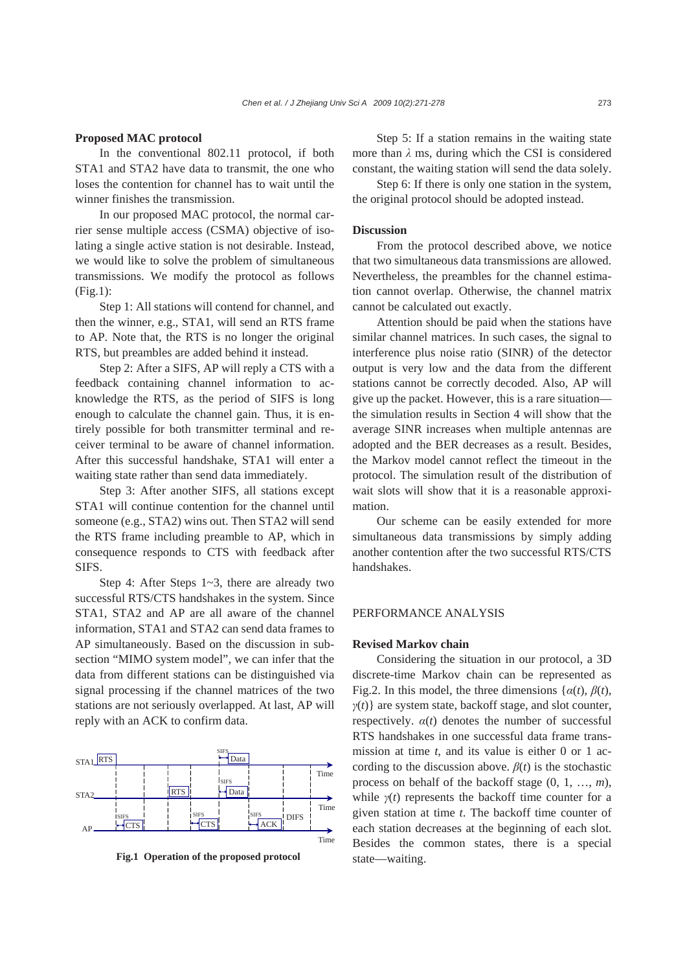## **Proposed MAC protocol**

In the conventional 802.11 protocol, if both STA1 and STA2 have data to transmit, the one who loses the contention for channel has to wait until the winner finishes the transmission.

In our proposed MAC protocol, the normal carrier sense multiple access (CSMA) objective of isolating a single active station is not desirable. Instead, we would like to solve the problem of simultaneous transmissions. We modify the protocol as follows (Fig.1):

Step 1: All stations will contend for channel, and then the winner, e.g., STA1, will send an RTS frame to AP. Note that, the RTS is no longer the original RTS, but preambles are added behind it instead.

Step 2: After a SIFS, AP will reply a CTS with a feedback containing channel information to acknowledge the RTS, as the period of SIFS is long enough to calculate the channel gain. Thus, it is entirely possible for both transmitter terminal and receiver terminal to be aware of channel information. After this successful handshake, STA1 will enter a waiting state rather than send data immediately.

Step 3: After another SIFS, all stations except STA1 will continue contention for the channel until someone (e.g., STA2) wins out. Then STA2 will send the RTS frame including preamble to AP, which in consequence responds to CTS with feedback after SIFS.

Step 4: After Steps 1~3, there are already two successful RTS/CTS handshakes in the system. Since STA1, STA2 and AP are all aware of the channel information, STA1 and STA2 can send data frames to AP simultaneously. Based on the discussion in subsection "MIMO system model", we can infer that the data from different stations can be distinguished via signal processing if the channel matrices of the two stations are not seriously overlapped. At last, AP will reply with an ACK to confirm data.



**Fig.1 Operation of the proposed protocol** state—waiting.

Step 5: If a station remains in the waiting state more than  $\lambda$  ms, during which the CSI is considered constant, the waiting station will send the data solely.

Step 6: If there is only one station in the system, the original protocol should be adopted instead.

## **Discussion**

From the protocol described above, we notice that two simultaneous data transmissions are allowed. Nevertheless, the preambles for the channel estimation cannot overlap. Otherwise, the channel matrix cannot be calculated out exactly.

Attention should be paid when the stations have similar channel matrices. In such cases, the signal to interference plus noise ratio (SINR) of the detector output is very low and the data from the different stations cannot be correctly decoded. Also, AP will give up the packet. However, this is a rare situation the simulation results in Section 4 will show that the average SINR increases when multiple antennas are adopted and the BER decreases as a result. Besides, the Markov model cannot reflect the timeout in the protocol. The simulation result of the distribution of wait slots will show that it is a reasonable approximation.

Our scheme can be easily extended for more simultaneous data transmissions by simply adding another contention after the two successful RTS/CTS handshakes.

# PERFORMANCE ANALYSIS

#### **Revised Markov chain**

Considering the situation in our protocol, a 3D discrete-time Markov chain can be represented as Fig.2. In this model, the three dimensions { $\alpha(t)$ ,  $\beta(t)$ , *γ*(*t*)} are system state, backoff stage, and slot counter, respectively.  $\alpha(t)$  denotes the number of successful RTS handshakes in one successful data frame transmission at time *t*, and its value is either 0 or 1 according to the discussion above.  $\beta(t)$  is the stochastic process on behalf of the backoff stage (0, 1, …, *m*), while  $y(t)$  represents the backoff time counter for a given station at time *t*. The backoff time counter of each station decreases at the beginning of each slot. Besides the common states, there is a special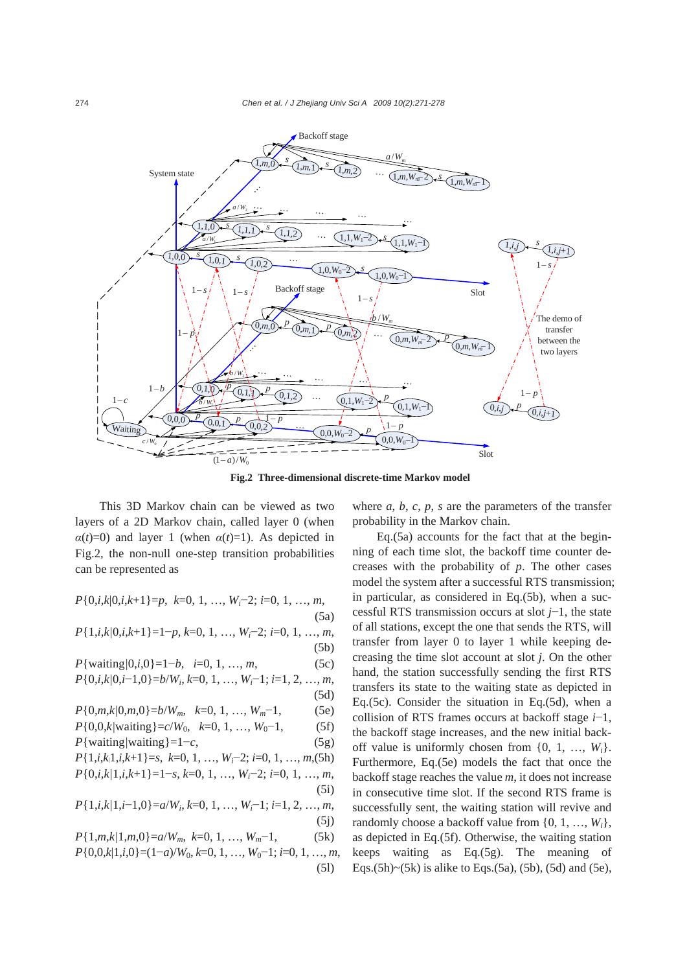

**Fig.2 Three-dimensional discrete-time Markov model** 

(5l)

This 3D Markov chain can be viewed as two layers of a 2D Markov chain, called layer 0 (when  $\alpha(t)=0$ ) and layer 1 (when  $\alpha(t)=1$ ). As depicted in Fig.2, the non-null one-step transition probabilities can be represented as

*P*{0,*i*,*k*|0,*i*,*k*+1}=*p*, *k*=0, 1, …, *Wi*−2; *i*=0, 1, …, *m*, (5a) *P*{1,*i*,*k|*0,*i*,*k*+1}=1−*p*, *k*=0, 1, …, *Wi*−2; *i*=0, 1, …, *m*, (5b) *P*{waiting*|*0,*i*,0}=1−*b*, *i*=0, 1, …, *m*, (5c) *P*{0,*i*,*k|*0,*i*−1,0}=*b*/*Wi*, *k*=0, 1, …, *Wi*−1; *i*=1, 2, …, *m*, (5d) *P*{0,*m*,*k*/0,*m*,0}=*b*/*W<sub>m</sub>*, *k*=0, 1, ..., *W<sub>m</sub>*−1, (5e) *P*{0,0,*k*/waiting}=*c*/*W*<sub>0</sub>, *k*=0, 1, …, *W*<sub>0</sub>−1, (5f) *P*{waiting/waiting}=1−*c*, (5g) *P*{1,*i*,*k|*1,*i*,*k*+1}=*s*, *k*=0, 1, …, *Wi*−2; *i*=0, 1, …, *m*,(5h) *P*{0,*i*,*k|*1,*i*,*k*+1}=1−*s*, *k*=0, 1, …, *Wi*−2; *i*=0, 1, …, *m*, (5i) *P*{1,*i*,*k|*1,*i*−1,0}=*a*/*Wi*, *k*=0, 1, …, *Wi*−1; *i*=1, 2, …, *m*,  $(5j)$ *P*{1,*m*,*k|*1,*m*,0}=*a*/*Wm*, *k*=0, 1, …, *Wm*−1, (5k) *P*{0,0,*k*|1,*i*,0}=(1−*a*)/*W*<sub>0</sub>, *k*=0, 1, …, *W*<sub>0</sub>−1; *i*=0, 1, …, *m*, where  $a, b, c, p, s$  are the parameters of the transfer probability in the Markov chain.

Eq.(5a) accounts for the fact that at the beginning of each time slot, the backoff time counter decreases with the probability of *p*. The other cases model the system after a successful RTS transmission; in particular, as considered in Eq.(5b), when a successful RTS transmission occurs at slot *j*−1, the state of all stations, except the one that sends the RTS, will transfer from layer 0 to layer 1 while keeping decreasing the time slot account at slot *j*. On the other hand, the station successfully sending the first RTS transfers its state to the waiting state as depicted in Eq.(5c). Consider the situation in Eq.(5d), when a collision of RTS frames occurs at backoff stage *i*−1, the backoff stage increases, and the new initial backoff value is uniformly chosen from  $\{0, 1, ..., W_i\}$ . Furthermore, Eq.(5e) models the fact that once the backoff stage reaches the value *m*, it does not increase in consecutive time slot. If the second RTS frame is successfully sent, the waiting station will revive and randomly choose a backoff value from {0, 1, …, *Wi*}, as depicted in Eq.(5f). Otherwise, the waiting station keeps waiting as Eq.(5g). The meaning of Eqs.(5h)~(5k) is alike to Eqs.(5a), (5b), (5d) and (5e),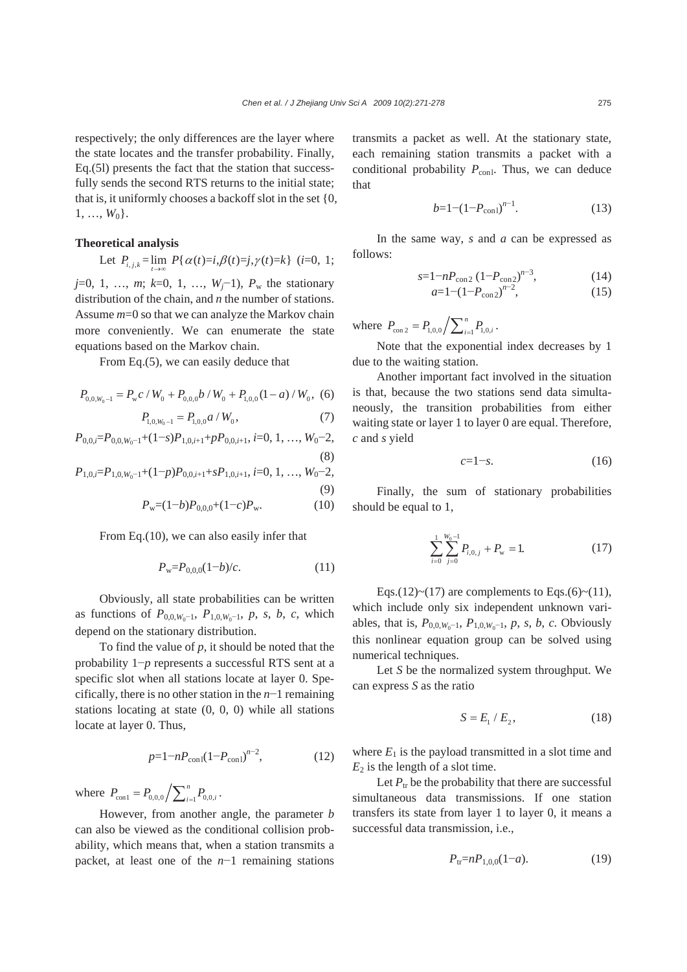(8)

respectively; the only differences are the layer where the state locates and the transfer probability. Finally, Eq.(5l) presents the fact that the station that successfully sends the second RTS returns to the initial state; that is, it uniformly chooses a backoff slot in the set {0,  $1, \ldots, W_0$ .

## **Theoretical analysis**

Let 
$$
P_{i,j,k} = \lim_{t \to \infty} P\{\alpha(t)=i, \beta(t)=j, \gamma(t)=k\}
$$
 (i=0, 1;

*j*=0, 1, ..., *m*; *k*=0, 1, ..., *W<sub>j</sub>*−1), *P<sub>w</sub>* the stationary distribution of the chain, and *n* the number of stations. Assume *m*=0 so that we can analyze the Markov chain more conveniently. We can enumerate the state equations based on the Markov chain.

From Eq.(5), we can easily deduce that

$$
P_{0,0,W_0-1} = P_{\rm w}c / W_0 + P_{0,0,0}b / W_0 + P_{1,0,0}(1-a) / W_0, (6)
$$

$$
P_{1,0,W_0-1} = P_{1,0,0} a / W_0, \qquad (7)
$$

$$
P_{0,0,i} = P_{0,0,W_0-1} + (1-s)P_{1,0,i+1} + pP_{0,0,i+1}, i=0, 1, ..., W_0-2,
$$

$$
P_{1,0,i} = P_{1,0,W_0-1} + (1-p)P_{0,0,i+1} + sP_{1,0,i+1}, i=0, 1, ..., W_0-2,
$$

$$
(9)
$$

$$
P_{\mathbf{w}} = (1-b)P_{0,0,0} + (1-c)P_{\mathbf{w}}.\tag{10}
$$

From Eq.(10), we can also easily infer that

$$
P_{\rm w} = P_{0,0,0}(1-b)/c.
$$
 (11)

Obviously, all state probabilities can be written as functions of  $P_{0,0,W_0-1}$ ,  $P_{1,0,W_0-1}$ ,  $p$ ,  $s$ ,  $b$ ,  $c$ , which depend on the stationary distribution.

To find the value of *p*, it should be noted that the probability 1−*p* represents a successful RTS sent at a specific slot when all stations locate at layer 0. Specifically, there is no other station in the *n*−1 remaining stations locating at state (0, 0, 0) while all stations locate at layer 0. Thus,

$$
p=1-nP_{\rm con1}(1-P_{\rm con1})^{n-2},\tag{12}
$$

where  $P_{\text{con1}} = P_{0,0,0} / \sum_{i=1}^{n} P_{0,0,i}$ .

However, from another angle, the parameter *b* can also be viewed as the conditional collision probability, which means that, when a station transmits a packet, at least one of the *n*−1 remaining stations transmits a packet as well. At the stationary state, each remaining station transmits a packet with a conditional probability  $P_{\text{conl}}$ . Thus, we can deduce that

$$
b=1-(1-P_{\text{conl}})^{n-1}.\tag{13}
$$

In the same way, *s* and *a* can be expressed as follows:

$$
s=1-nP_{\text{con2}}\left(1-P_{\text{con2}}\right)^{n-3},\tag{14}
$$

$$
a=1-(1-P_{\rm con2})^{n-2},\tag{15}
$$

where  $P_{\text{con } 2} = P_{1,0,0} / \sum_{i=1}^{n} P_{1,0,i}$ .

Note that the exponential index decreases by 1 due to the waiting station.

Another important fact involved in the situation is that, because the two stations send data simultaneously, the transition probabilities from either waiting state or layer 1 to layer 0 are equal. Therefore, *c* and *s* yield

$$
c=1-s.\tag{16}
$$

Finally, the sum of stationary probabilities should be equal to 1,

$$
\sum_{i=0}^{1} \sum_{j=0}^{W_0 - 1} P_{i,0,j} + P_{\rm w} = 1.
$$
 (17)

Eqs.(12)~(17) are complements to Eqs.(6)~(11), which include only six independent unknown variables, that is,  $P_{0,0,W_0-1}$ ,  $P_{1,0,W_0-1}$ ,  $p$ ,  $s$ ,  $b$ ,  $c$ . Obviously this nonlinear equation group can be solved using numerical techniques.

Let *S* be the normalized system throughput. We can express *S* as the ratio

$$
S = E_1 / E_2, \tag{18}
$$

where  $E_1$  is the payload transmitted in a slot time and  $E_2$  is the length of a slot time.

Let  $P_{tr}$  be the probability that there are successful simultaneous data transmissions. If one station transfers its state from layer 1 to layer 0, it means a successful data transmission, i.e.,

$$
P_{\text{tr}} = nP_{1,0,0}(1-a). \tag{19}
$$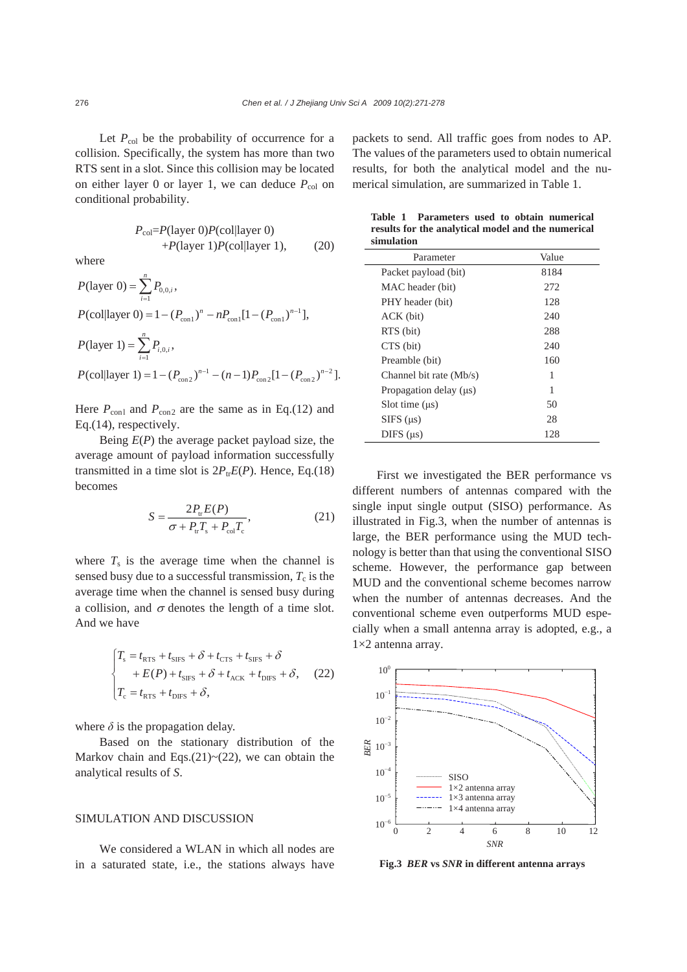Let  $P_{\text{col}}$  be the probability of occurrence for a collision. Specifically, the system has more than two RTS sent in a slot. Since this collision may be located on either layer 0 or layer 1, we can deduce  $P_{\text{col}}$  on conditional probability.

$$
P_{\text{col}} = P(\text{layer 0})P(\text{col}|\text{layer 0}) + P(\text{layer 1})P(\text{col}|\text{layer 1}),\tag{20}
$$

where

$$
P(\text{layer 0}) = \sum_{i=1}^{n} P_{0,0,i},
$$
  
\n
$$
P(\text{colllayer 0}) = 1 - (P_{\text{con1}})^n - n P_{\text{con1}} [1 - (P_{\text{con1}})^{n-1}],
$$
  
\n
$$
P(\text{layer 1}) = \sum_{i=1}^{n} P_{i,0,i},
$$
  
\n
$$
P(\text{colllayer 1}) = 1 - (P_{\text{con2}})^{n-1} - (n-1) P_{\text{con2}} [1 - (P_{\text{con2}})^{n-2}].
$$

Here  $P_{\text{con1}}$  and  $P_{\text{con2}}$  are the same as in Eq.(12) and Eq.(14), respectively.

Being *E*(*P*) the average packet payload size, the average amount of payload information successfully transmitted in a time slot is  $2P_{tr}E(P)$ . Hence, Eq.(18) becomes

$$
S = \frac{2P_{tr}E(P)}{\sigma + P_{tr}T_s + P_{col}T_c},
$$
\n(21)

where  $T_s$  is the average time when the channel is sensed busy due to a successful transmission,  $T_c$  is the average time when the channel is sensed busy during a collision, and  $\sigma$  denotes the length of a time slot. And we have

$$
\begin{cases}\nT_s = t_{\text{RTS}} + t_{\text{SIFS}} + \delta + t_{\text{CTS}} + t_{\text{SIFS}} + \delta \\
+ E(P) + t_{\text{SIFS}} + \delta + t_{\text{ACK}} + t_{\text{DIFS}} + \delta,\n\end{cases}
$$
\n(22)\n
$$
T_c = t_{\text{RTS}} + t_{\text{DIFS}} + \delta,
$$

where  $\delta$  is the propagation delay.

Based on the stationary distribution of the Markov chain and Eqs. $(21)$  ~ $(22)$ , we can obtain the analytical results of *S*.

## SIMULATION AND DISCUSSION

We considered a WLAN in which all nodes are in a saturated state, i.e., the stations always have packets to send. All traffic goes from nodes to AP. The values of the parameters used to obtain numerical results, for both the analytical model and the numerical simulation, are summarized in Table 1.

**Table 1 Parameters used to obtain numerical results for the analytical model and the numerical** 

| simulation                  |       |
|-----------------------------|-------|
| Parameter                   | Value |
| Packet payload (bit)        | 8184  |
| MAC header (bit)            | 272   |
| PHY header (bit)            | 128   |
| ACK (bit)                   | 240   |
| RTS (bit)                   | 288   |
| CTS (bit)                   | 240   |
| Preamble (bit)              | 160   |
| Channel bit rate (Mb/s)     | 1     |
| Propagation delay $(\mu s)$ | 1     |
| Solt time $(\mu s)$         | 50    |
| $SIFS$ ( $\mu s$ )          | 28    |
| $DIFS$ ( $\mu s$ )          | 128   |

First we investigated the BER performance vs different numbers of antennas compared with the single input single output (SISO) performance. As illustrated in Fig.3, when the number of antennas is large, the BER performance using the MUD technology is better than that using the conventional SISO scheme. However, the performance gap between MUD and the conventional scheme becomes narrow when the number of antennas decreases. And the conventional scheme even outperforms MUD especially when a small antenna array is adopted, e.g., a  $1\times2$  antenna array.



**Fig.3** *BER* **vs** *SNR* **in different antenna arrays**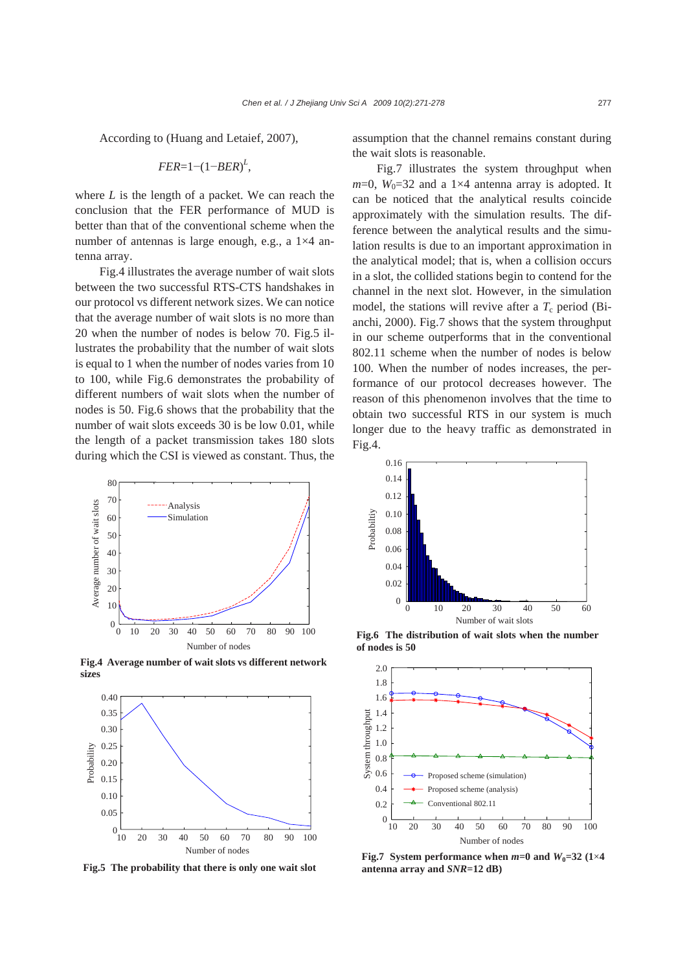According to (Huang and Letaief, 2007),

$$
FER=1-(1-BER)^L,
$$

where *L* is the length of a packet. We can reach the conclusion that the FER performance of MUD is better than that of the conventional scheme when the number of antennas is large enough, e.g., a 1×4 antenna array.

Fig.4 illustrates the average number of wait slots between the two successful RTS-CTS handshakes in our protocol vs different network sizes. We can notice that the average number of wait slots is no more than 20 when the number of nodes is below 70. Fig.5 illustrates the probability that the number of wait slots is equal to 1 when the number of nodes varies from 10 to 100, while Fig.6 demonstrates the probability of different numbers of wait slots when the number of nodes is 50. Fig.6 shows that the probability that the number of wait slots exceeds 30 is be low 0.01, while the length of a packet transmission takes 180 slots during which the CSI is viewed as constant. Thus, the



**Fig.4 Average number of wait slots vs different network sizes** 2.0



**Fig.5 The probability that there is only one wait slot** 

assumption that the channel remains constant during the wait slots is reasonable.

Fig.7 illustrates the system throughput when  $m=0$ ,  $W_0=32$  and a 1×4 antenna array is adopted. It can be noticed that the analytical results coincide approximately with the simulation results. The difference between the analytical results and the simulation results is due to an important approximation in the analytical model; that is, when a collision occurs in a slot, the collided stations begin to contend for the channel in the next slot. However, in the simulation model, the stations will revive after a  $T_c$  period (Bianchi, 2000). Fig.7 shows that the system throughput in our scheme outperforms that in the conventional 802.11 scheme when the number of nodes is below 100. When the number of nodes increases, the performance of our protocol decreases however. The reason of this phenomenon involves that the time to obtain two successful RTS in our system is much longer due to the heavy traffic as demonstrated in Fig.4.



**Fig.6 The distribution of wait slots when the number of nodes is 50** 



**Fig.7** System performance when  $m=0$  and  $W_0=32$  (1×4 **antenna array and** *SNR***=12 dB)**